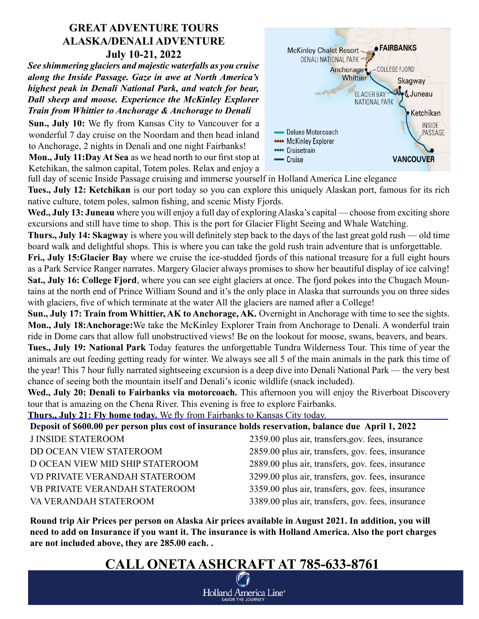### GREAT ADVENTURE TOURS ALASKA/DENALI ADVENTURE July 10-21, 2022

See shimmering glaciers and majestic waterfalls as you cruise along the Inside Passage. Gaze in awe at North America's highest peak in Denali National Park, and watch for bear, Dall sheep and moose. Experience the McKinley Explorer Train from Whittier to Anchorage & Anchorage to Denali

Sun., July 10: We fly from Kansas City to Vancouver for a wonderful 7 day cruise on the Noordam and then head inland to Anchorage, 2 nights in Denali and one night Fairbanks! Mon., July 11:Day At Sea as we head north to our first stop at

Ketchikan, the salmon capital, Totem poles. Relax and enjoy a



full day of scenic Inside Passage cruising and immerse yourself in Holland America Line elegance Tues., July 12: Ketchikan is our port today so you can explore this uniquely Alaskan port, famous for its rich

native culture, totem poles, salmon fishing, and scenic Misty Fjords.

Wed., July 13: Juneau where you will enjoy a full day of exploring Alaska's capital — choose from exciting shore excursions and still have time to shop. This is the port for Glacier Flight Seeing and Whale Watching.

Thurs., July 14: Skagway is where you will definitely step back to the days of the last great gold rush — old time board walk and delightful shops. This is where you can take the gold rush train adventure that is unforgettable.

Fri., July 15: Glacier Bay where we cruise the ice-studded fjords of this national treasure for a full eight hours as a Park Service Ranger narrates. Margery Glacier always promises to show her beautiful display of ice calving! Sat., July 16: College Fjord, where you can see eight glaciers at once. The fjord pokes into the Chugach Mountains at the north end of Prince William Sound and it's the only place in Alaska that surrounds you on three sides with glaciers, five of which terminate at the water All the glaciers are named after a College!

Sun., July 17: Train from Whittier, AK to Anchorage, AK. Overnight in Anchorage with time to see the sights. Mon., July 18:Anchorage:We take the McKinley Explorer Train from Anchorage to Denali. A wonderful train ride in Dome cars that allow full unobstructived views! Be on the lookout for moose, swans, beavers, and bears. Tues., July 19: National Park Today features the unforgettable Tundra Wilderness Tour. This time of year the animals are out feeding getting ready for winter. We always see all 5 of the main animals in the park this time of the year! This 7 hour fully narrated sightseeing excursion is a deep dive into Denali National Park — the very best chance of seeing both the mountain itself and Denali's iconic wildlife (snack included).

Wed., July 20: Denali to Fairbanks via motorcoach. This afternoon you will enjoy the Riverboat Discovery tour that is amazing on the Chena River. This evening is free to explore Fairbanks.

Thurs., July 21: Fly home today. We fly from Fairbanks to Kansas City today.

| Deposit of \$600.00 per person plus cost of insurance holds reservation, balance due April 1, 2022 |                                                   |
|----------------------------------------------------------------------------------------------------|---------------------------------------------------|
| <b>J INSIDE STATEROOM</b>                                                                          | 2359.00 plus air, transfers, gov. fees, insurance |
| DD OCEAN VIEW STATEROOM                                                                            | 2859.00 plus air, transfers, gov. fees, insurance |
| D OCEAN VIEW MID SHIP STATEROOM                                                                    | 2889.00 plus air, transfers, gov. fees, insurance |
| VD PRIVATE VERANDAH STATEROOM                                                                      | 3299.00 plus air, transfers, gov. fees, insurance |
| VB PRIVATE VERANDAH STATEROOM                                                                      | 3359.00 plus air, transfers, gov. fees, insurance |
| VA VERANDAH STATEROOM                                                                              | 3389.00 plus air, transfers, gov. fees, insurance |

Round trip Air Prices per person on Alaska Air prices available in August 2021. In addition, you will need to add on Insurance if you want it. The insurance is with Holland America. Also the port charges are not included above, they are 285.00 each. .

## CALL ONETA ASHCRAFT AT 785-633-8761

Holland America Line\* **SAVOR THE JOURNEY**